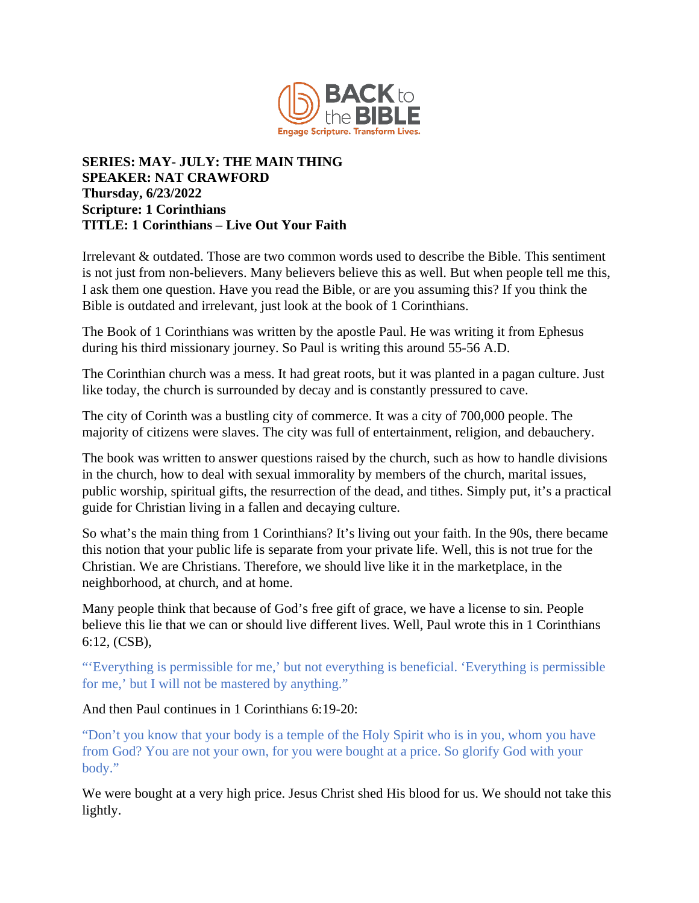

## **SERIES: MAY- JULY: THE MAIN THING SPEAKER: NAT CRAWFORD Thursday, 6/23/2022 Scripture: 1 Corinthians TITLE: 1 Corinthians – Live Out Your Faith**

Irrelevant & outdated. Those are two common words used to describe the Bible. This sentiment is not just from non-believers. Many believers believe this as well. But when people tell me this, I ask them one question. Have you read the Bible, or are you assuming this? If you think the Bible is outdated and irrelevant, just look at the book of 1 Corinthians.

The Book of 1 Corinthians was written by the apostle Paul. He was writing it from Ephesus during his third missionary journey. So Paul is writing this around 55-56 A.D.

The Corinthian church was a mess. It had great roots, but it was planted in a pagan culture. Just like today, the church is surrounded by decay and is constantly pressured to cave.

The city of Corinth was a bustling city of commerce. It was a city of 700,000 people. The majority of citizens were slaves. The city was full of entertainment, religion, and debauchery.

The book was written to answer questions raised by the church, such as how to handle divisions in the church, how to deal with sexual immorality by members of the church, marital issues, public worship, spiritual gifts, the resurrection of the dead, and tithes. Simply put, it's a practical guide for Christian living in a fallen and decaying culture.

So what's the main thing from 1 Corinthians? It's living out your faith. In the 90s, there became this notion that your public life is separate from your private life. Well, this is not true for the Christian. We are Christians. Therefore, we should live like it in the marketplace, in the neighborhood, at church, and at home.

Many people think that because of God's free gift of grace, we have a license to sin. People believe this lie that we can or should live different lives. Well, Paul wrote this in 1 Corinthians 6:12, (CSB),

"'Everything is permissible for me,' but not everything is beneficial. 'Everything is permissible for me,' but I will not be mastered by anything."

## And then Paul continues in 1 Corinthians 6:19-20:

"Don't you know that your body is a temple of the Holy Spirit who is in you, whom you have from God? You are not your own, for you were bought at a price. So glorify God with your body."

We were bought at a very high price. Jesus Christ shed His blood for us. We should not take this lightly.